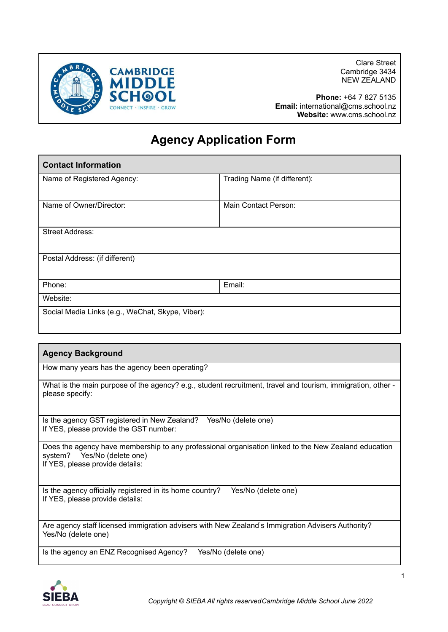

Clare Street Cambridge 3434 NEW ZEALAND

**Phone:** +64 7 827 5135 **Email:** international@cms.school.nz **Website:** www.cms.school.nz

## **Agency Application Form**

| <b>Contact Information</b>                       |                              |  |
|--------------------------------------------------|------------------------------|--|
| Name of Registered Agency:                       | Trading Name (if different): |  |
| Name of Owner/Director:                          | Main Contact Person:         |  |
| <b>Street Address:</b>                           |                              |  |
| Postal Address: (if different)                   |                              |  |
| Phone:                                           | Email:                       |  |
| Website:                                         |                              |  |
| Social Media Links (e.g., WeChat, Skype, Viber): |                              |  |

| <b>Agency Background</b>                                                                                                                                               |  |  |
|------------------------------------------------------------------------------------------------------------------------------------------------------------------------|--|--|
| How many years has the agency been operating?                                                                                                                          |  |  |
| What is the main purpose of the agency? e.g., student recruitment, travel and tourism, immigration, other -<br>please specify:                                         |  |  |
| Is the agency GST registered in New Zealand?<br>Yes/No (delete one)<br>If YES, please provide the GST number:                                                          |  |  |
| Does the agency have membership to any professional organisation linked to the New Zealand education<br>system? Yes/No (delete one)<br>If YES, please provide details: |  |  |
| Is the agency officially registered in its home country?<br>Yes/No (delete one)<br>If YES, please provide details:                                                     |  |  |
| Are agency staff licensed immigration advisers with New Zealand's Immigration Advisers Authority?<br>Yes/No (delete one)                                               |  |  |
| Is the agency an ENZ Recognised Agency?<br>Yes/No (delete one)                                                                                                         |  |  |

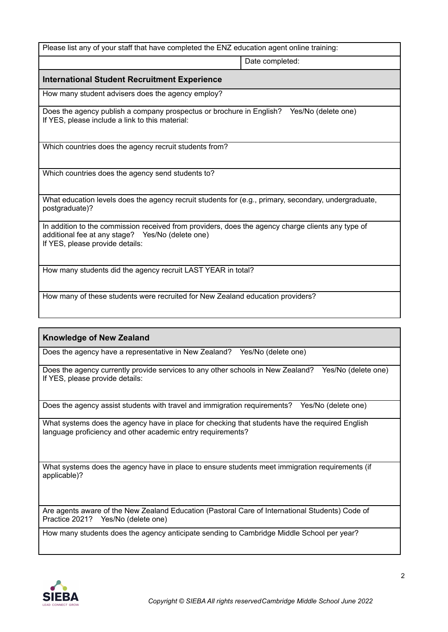| Please list any of your staff that have completed the ENZ education agent online training:                                                                                               |                 |  |  |
|------------------------------------------------------------------------------------------------------------------------------------------------------------------------------------------|-----------------|--|--|
|                                                                                                                                                                                          | Date completed: |  |  |
| <b>International Student Recruitment Experience</b>                                                                                                                                      |                 |  |  |
| How many student advisers does the agency employ?                                                                                                                                        |                 |  |  |
| Yes/No (delete one)<br>Does the agency publish a company prospectus or brochure in English?<br>If YES, please include a link to this material:                                           |                 |  |  |
| Which countries does the agency recruit students from?                                                                                                                                   |                 |  |  |
| Which countries does the agency send students to?                                                                                                                                        |                 |  |  |
| What education levels does the agency recruit students for (e.g., primary, secondary, undergraduate,<br>postgraduate)?                                                                   |                 |  |  |
| In addition to the commission received from providers, does the agency charge clients any type of<br>additional fee at any stage? Yes/No (delete one)<br>If YES, please provide details: |                 |  |  |
| How many students did the agency recruit LAST YEAR in total?                                                                                                                             |                 |  |  |
| How many of these students were recruited for New Zealand education providers?                                                                                                           |                 |  |  |

## **Knowledge of New Zealand**

Does the agency have a representative in New Zealand? Yes/No (delete one)

Does the agency currently provide services to any other schools in New Zealand? Yes/No (delete one) If YES, please provide details:

Does the agency assist students with travel and immigration requirements? Yes/No (delete one)

What systems does the agency have in place for checking that students have the required English language proficiency and other academic entry requirements?

What systems does the agency have in place to ensure students meet immigration requirements (if applicable)?

Are agents aware of the New Zealand Education (Pastoral Care of International Students) Code of Practice 2021? Yes/No (delete one)

How many students does the agency anticipate sending to Cambridge Middle School per year?